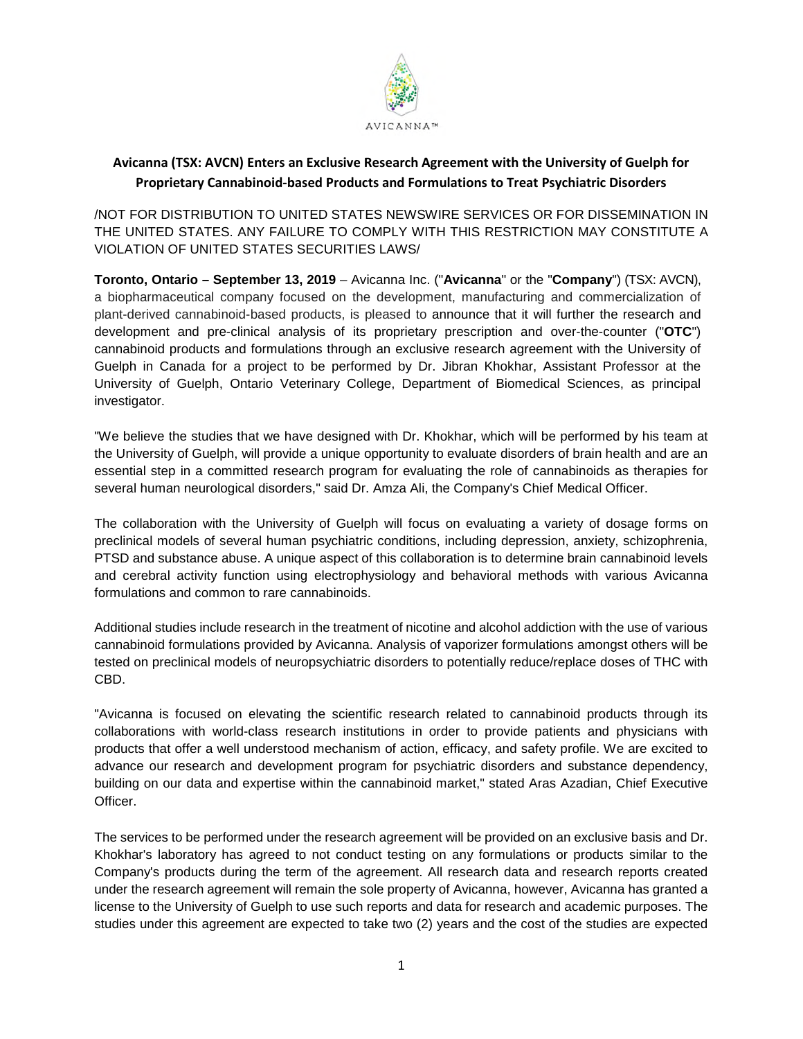

## **Avicanna (TSX: AVCN) Enters an Exclusive Research Agreement with the University of Guelph for Proprietary Cannabinoid-based Products and Formulations to Treat Psychiatric Disorders**

/NOT FOR DISTRIBUTION TO UNITED STATES NEWSWIRE SERVICES OR FOR DISSEMINATION IN THE UNITED STATES. ANY FAILURE TO COMPLY WITH THIS RESTRICTION MAY CONSTITUTE A VIOLATION OF UNITED STATES SECURITIES LAWS/

**Toronto, Ontario – September 13, 2019** – Avicanna Inc. ("**Avicanna**" or the "**Company**") (TSX: AVCN), a biopharmaceutical company focused on the development, manufacturing and commercialization of plant-derived cannabinoid-based products, is pleased to announce that it will further the research and development and pre-clinical analysis of its proprietary prescription and over-the-counter ("**OTC**") cannabinoid products and formulations through an exclusive research agreement with the University of Guelph in Canada for a project to be performed by Dr. Jibran Khokhar, Assistant Professor at the University of Guelph, Ontario Veterinary College, Department of Biomedical Sciences, as principal investigator.

"We believe the studies that we have designed with Dr. Khokhar, which will be performed by his team at the University of Guelph, will provide a unique opportunity to evaluate disorders of brain health and are an essential step in a committed research program for evaluating the role of cannabinoids as therapies for several human neurological disorders," said Dr. Amza Ali, the Company's Chief Medical Officer.

The collaboration with the University of Guelph will focus on evaluating a variety of dosage forms on preclinical models of several human psychiatric conditions, including depression, anxiety, schizophrenia, PTSD and substance abuse. A unique aspect of this collaboration is to determine brain cannabinoid levels and cerebral activity function using electrophysiology and behavioral methods with various Avicanna formulations and common to rare cannabinoids.

Additional studies include research in the treatment of nicotine and alcohol addiction with the use of various cannabinoid formulations provided by Avicanna. Analysis of vaporizer formulations amongst others will be tested on preclinical models of neuropsychiatric disorders to potentially reduce/replace doses of THC with CBD.

"Avicanna is focused on elevating the scientific research related to cannabinoid products through its collaborations with world-class research institutions in order to provide patients and physicians with products that offer a well understood mechanism of action, efficacy, and safety profile. We are excited to advance our research and development program for psychiatric disorders and substance dependency, building on our data and expertise within the cannabinoid market," stated Aras Azadian, Chief Executive Officer.

The services to be performed under the research agreement will be provided on an exclusive basis and Dr. Khokhar's laboratory has agreed to not conduct testing on any formulations or products similar to the Company's products during the term of the agreement. All research data and research reports created under the research agreement will remain the sole property of Avicanna, however, Avicanna has granted a license to the University of Guelph to use such reports and data for research and academic purposes. The studies under this agreement are expected to take two (2) years and the cost of the studies are expected